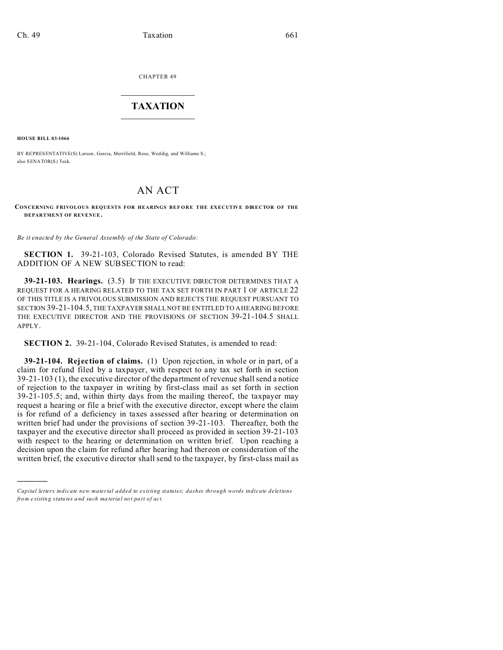CHAPTER 49  $\overline{\phantom{a}}$  , where  $\overline{\phantom{a}}$ 

## **TAXATION**  $\_$

**HOUSE BILL 03-1066**

)))))

BY REPRESENTATIVE(S) Larson, Garcia, Merrifield, Rose, Weddig, and Williams S.; also SENATOR(S) Teck.

## AN ACT

## **CONCERNING FRIVOLOUS REQUESTS FOR HEARINGS BEF ORE THE EXECUTIVE DIRECTOR OF THE DEPARTMENT OF REVENUE .**

*Be it enacted by the General Assembly of the State of Colorado:*

**SECTION 1.** 39-21-103, Colorado Revised Statutes, is amended BY THE ADDITION OF A NEW SUBSECTION to read:

**39-21-103. Hearings.** (3.5) IF THE EXECUTIVE DIRECTOR DETERMINES THAT A REQUEST FOR A HEARING RELATED TO THE TAX SET FORTH IN PART 1 OF ARTICLE 22 OF THIS TITLE IS A FRIVOLOUS SUBMISSION AND REJECTS THE REQUEST PURSUANT TO SECTION 39-21-104.5, THE TAXPAYER SHALL NOT BE ENTITLED TO A HEARING BEFORE THE EXECUTIVE DIRECTOR AND THE PROVISIONS OF SECTION 39-21-104.5 SHALL APPLY.

**SECTION 2.** 39-21-104, Colorado Revised Statutes, is amended to read:

**39-21-104. Rejection of claims.** (1) Upon rejection, in whole or in part, of a claim for refund filed by a taxpayer, with respect to any tax set forth in section 39-21-103 (1), the executive director of the department of revenue shall send a notice of rejection to the taxpayer in writing by first-class mail as set forth in section 39-21-105.5; and, within thirty days from the mailing thereof, the taxpayer may request a hearing or file a brief with the executive director, except where the claim is for refund of a deficiency in taxes assessed after hearing or determination on written brief had under the provisions of section 39-21-103. Thereafter, both the taxpayer and the executive director shall proceed as provided in section 39-21-103 with respect to the hearing or determination on written brief. Upon reaching a decision upon the claim for refund after hearing had thereon or consideration of the written brief, the executive director shall send to the taxpayer, by first-class mail as

*Capital letters indicate new material added to existing statutes; dashes through words indicate deletions from e xistin g statu tes a nd such ma teria l no t pa rt of ac t.*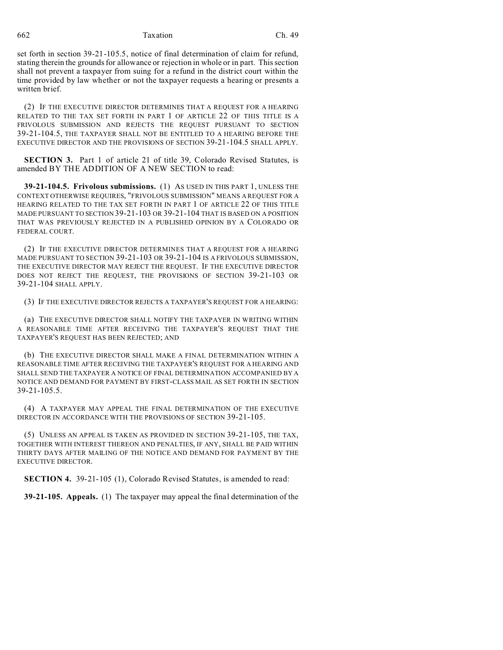662 Taxation Ch. 49

set forth in section 39-21-105.5, notice of final determination of claim for refund, stating therein the grounds for allowance or rejection in whole or in part. This section shall not prevent a taxpayer from suing for a refund in the district court within the time provided by law whether or not the taxpayer requests a hearing or presents a written brief.

(2) IF THE EXECUTIVE DIRECTOR DETERMINES THAT A REQUEST FOR A HEARING RELATED TO THE TAX SET FORTH IN PART 1 OF ARTICLE 22 OF THIS TITLE IS A FRIVOLOUS SUBMISSION AND REJECTS THE REQUEST PURSUANT TO SECTION 39-21-104.5, THE TAXPAYER SHALL NOT BE ENTITLED TO A HEARING BEFORE THE EXECUTIVE DIRECTOR AND THE PROVISIONS OF SECTION 39-21-104.5 SHALL APPLY.

**SECTION 3.** Part 1 of article 21 of title 39, Colorado Revised Statutes, is amended BY THE ADDITION OF A NEW SECTION to read:

**39-21-104.5. Frivolous submissions.** (1) AS USED IN THIS PART 1, UNLESS THE CONTEXT OTHERWISE REQUIRES, "FRIVOLOUS SUBMISSION" MEANS A REQUEST FOR A HEARING RELATED TO THE TAX SET FORTH IN PART 1 OF ARTICLE 22 OF THIS TITLE MADE PURSUANT TO SECTION 39-21-103 OR 39-21-104 THAT IS BASED ON A POSITION THAT WAS PREVIOUSLY REJECTED IN A PUBLISHED OPINION BY A COLORADO OR FEDERAL COURT.

(2) IF THE EXECUTIVE DIRECTOR DETERMINES THAT A REQUEST FOR A HEARING MADE PURSUANT TO SECTION 39-21-103 OR 39-21-104 IS A FRIVOLOUS SUBMISSION, THE EXECUTIVE DIRECTOR MAY REJECT THE REQUEST. IF THE EXECUTIVE DIRECTOR DOES NOT REJECT THE REQUEST, THE PROVISIONS OF SECTION 39-21-103 OR 39-21-104 SHALL APPLY.

(3) IF THE EXECUTIVE DIRECTOR REJECTS A TAXPAYER'S REQUEST FOR A HEARING:

(a) THE EXECUTIVE DIRECTOR SHALL NOTIFY THE TAXPAYER IN WRITING WITHIN A REASONABLE TIME AFTER RECEIVING THE TAXPAYER'S REQUEST THAT THE TAXPAYER'S REQUEST HAS BEEN REJECTED; AND

(b) THE EXECUTIVE DIRECTOR SHALL MAKE A FINAL DETERMINATION WITHIN A REASONABLE TIME AFTER RECEIVING THE TAXPAYER'S REQUEST FOR A HEARING AND SHALL SEND THE TAXPAYER A NOTICE OF FINAL DETERMINATION ACCOMPANIED BY A NOTICE AND DEMAND FOR PAYMENT BY FIRST-CLASS MAIL AS SET FORTH IN SECTION 39-21-105.5.

(4) A TAXPAYER MAY APPEAL THE FINAL DETERMINATION OF THE EXECUTIVE DIRECTOR IN ACCORDANCE WITH THE PROVISIONS OF SECTION 39-21-105.

(5) UNLESS AN APPEAL IS TAKEN AS PROVIDED IN SECTION 39-21-105, THE TAX, TOGETHER WITH INTEREST THEREON AND PENALTIES, IF ANY, SHALL BE PAID WITHIN THIRTY DAYS AFTER MAILING OF THE NOTICE AND DEMAND FOR PAYMENT BY THE EXECUTIVE DIRECTOR.

**SECTION 4.** 39-21-105 (1), Colorado Revised Statutes, is amended to read:

**39-21-105. Appeals.** (1) The taxpayer may appeal the final determination of the